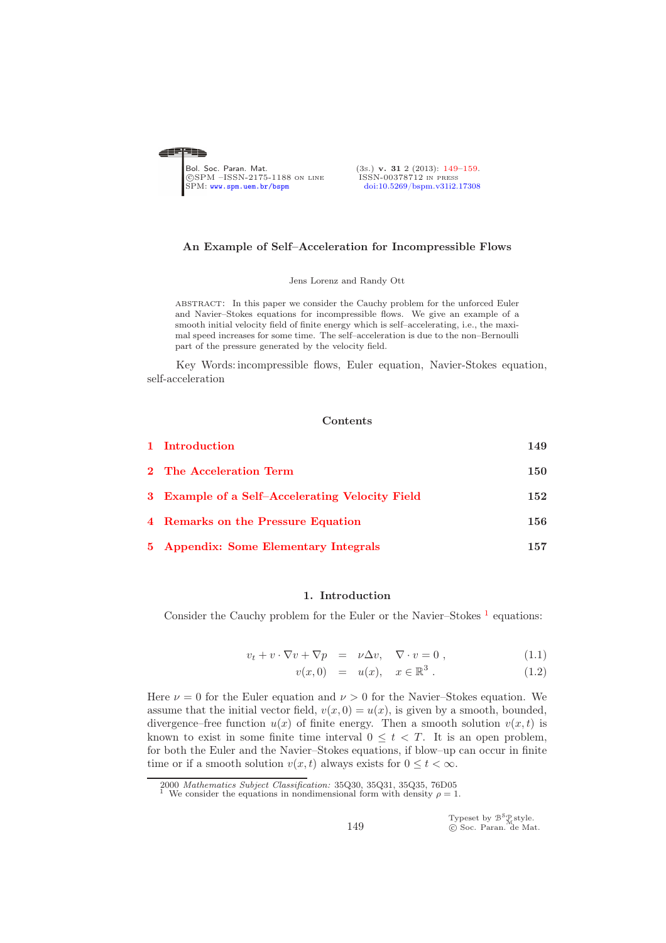<span id="page-0-0"></span>

#### An Example of Self–Acceleration for Incompressible Flows

Jens Lorenz and Randy Ott

abstract: In this paper we consider the Cauchy problem for the unforced Euler and Navier–Stokes equations for incompressible flows. We give an example of a smooth initial velocity field of finite energy which is self–accelerating, i.e., the maximal speed increases for some time. The self–acceleration is due to the non–Bernoulli part of the pressure generated by the velocity field.

Key Words: incompressible flows, Euler equation, Navier-Stokes equation, self-acceleration

#### Contents

| 1 Introduction                                  | 149 |
|-------------------------------------------------|-----|
| 2 The Acceleration Term                         | 150 |
| 3 Example of a Self-Accelerating Velocity Field | 152 |
| 4 Remarks on the Pressure Equation              | 156 |
| 5 Appendix: Some Elementary Integrals           | 157 |

#### 1. Introduction

<span id="page-0-1"></span>Consider the Cauchy problem for the Euler or the Navier–Stokes  $<sup>1</sup>$  $<sup>1</sup>$  $<sup>1</sup>$  equations:</sup>

<span id="page-0-3"></span>
$$
v_t + v \cdot \nabla v + \nabla p = \nu \Delta v, \quad \nabla \cdot v = 0 , \qquad (1.1)
$$

$$
v(x,0) = u(x), \quad x \in \mathbb{R}^3. \tag{1.2}
$$

Here  $\nu = 0$  for the Euler equation and  $\nu > 0$  for the Navier–Stokes equation. We assume that the initial vector field,  $v(x, 0) = u(x)$ , is given by a smooth, bounded, divergence–free function  $u(x)$  of finite energy. Then a smooth solution  $v(x, t)$  is known to exist in some finite time interval  $0 \leq t < T$ . It is an open problem, for both the Euler and the Navier–Stokes equations, if blow–up can occur in finite time or if a smooth solution  $v(x, t)$  always exists for  $0 \le t < \infty$ .

Typeset by  $\mathcal{B}^{\mathcal{S}}_{\mathcal{M}}^{\mathcal{S}}$ style.<br>© Soc. Paran. de Mat.

<sup>2000</sup> Mathematics Subject Classification: 35Q30, 35Q31, 35Q35, 76D05

<span id="page-0-2"></span>We consider the equations in nondimensional form with density  $\rho = 1$ .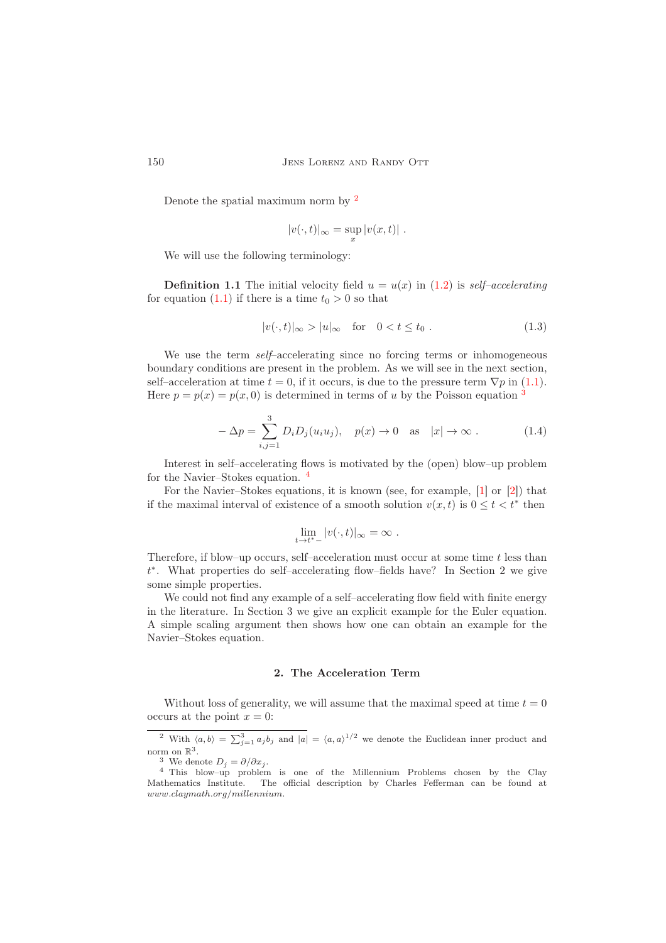Denote the spatial maximum norm by [2](#page-1-1)

$$
|v(\cdot,t)|_{\infty} = \sup_{x} |v(x,t)|.
$$

We will use the following terminology:

**Definition 1.1** The initial velocity field  $u = u(x)$  in [\(1.2\)](#page-0-3) is self-accelerating for equation [\(1.1\)](#page-0-3) if there is a time  $t_0 > 0$  so that

$$
|v(\cdot,t)|_{\infty} > |u|_{\infty} \quad \text{for} \quad 0 < t \le t_0 . \tag{1.3}
$$

We use the term *self*–accelerating since no forcing terms or inhomogeneous boundary conditions are present in the problem. As we will see in the next section, self–acceleration at time  $t = 0$ , if it occurs, is due to the pressure term  $\nabla p$  in [\(1.1\)](#page-0-3). Here  $p = p(x) = p(x, 0)$  is determined in terms of u by the Poisson equation <sup>[3](#page-1-2)</sup>

<span id="page-1-4"></span>
$$
-\Delta p = \sum_{i,j=1}^{3} D_i D_j(u_i u_j), \quad p(x) \to 0 \quad \text{as} \quad |x| \to \infty. \tag{1.4}
$$

Interest in self–accelerating flows is motivated by the (open) blow–up problem for the Navier–Stokes equation. [4](#page-1-3)

For the Navier–Stokes equations, it is known (see, for example, [\[1\]](#page-10-1) or [\[2\]](#page-10-2)) that if the maximal interval of existence of a smooth solution  $v(x, t)$  is  $0 \le t < t^*$  then

$$
\lim_{t \to t^*-} |v(\cdot, t)|_{\infty} = \infty.
$$

Therefore, if blow–up occurs, self–acceleration must occur at some time  $t$  less than t ∗ . What properties do self–accelerating flow–fields have? In Section 2 we give some simple properties.

We could not find any example of a self–accelerating flow field with finite energy in the literature. In Section 3 we give an explicit example for the Euler equation. A simple scaling argument then shows how one can obtain an example for the Navier–Stokes equation.

#### 2. The Acceleration Term

<span id="page-1-0"></span>Without loss of generality, we will assume that the maximal speed at time  $t = 0$ occurs at the point  $x = 0$ :

<sup>2</sup> With  $\langle a, b \rangle = \sum_{j=1}^{3} a_j b_j$  and  $|a| = \langle a, a \rangle^{1/2}$  we denote the Euclidean inner product and norm on  $\mathbb{R}^3$ .

<span id="page-1-2"></span><span id="page-1-1"></span><sup>&</sup>lt;sup>3</sup> We denote  $D_j = \partial/\partial x_j$ .

<span id="page-1-3"></span><sup>4</sup> This blow–up problem is one of the Millennium Problems chosen by the Clay Mathematics Institute. The official description by Charles Fefferman can be found at www.claymath.org/millennium.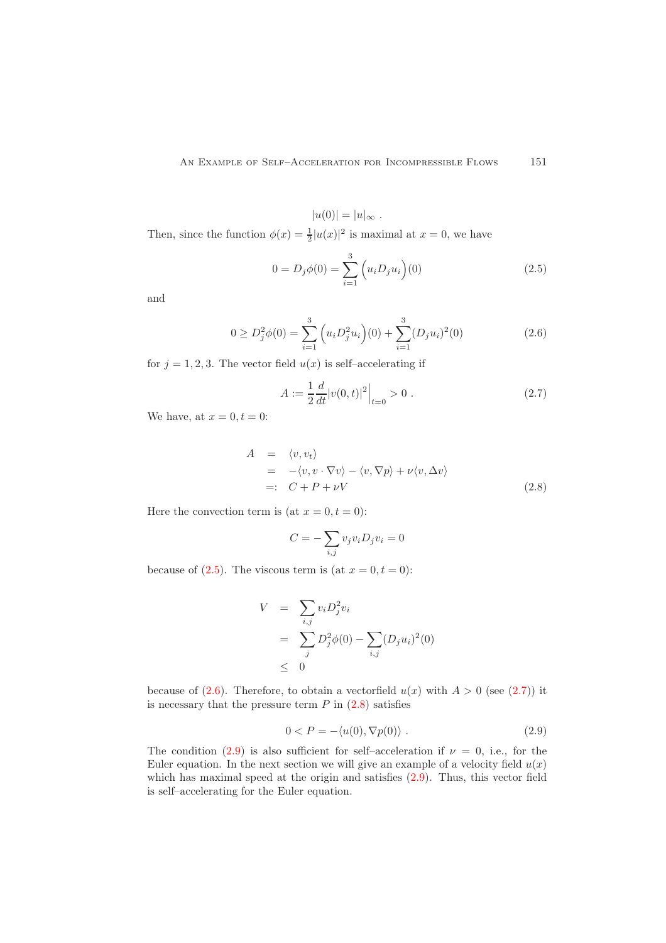$|u(0)| = |u|_{\infty}$ .

Then, since the function  $\phi(x) = \frac{1}{2} |u(x)|^2$  is maximal at  $x = 0$ , we have

<span id="page-2-0"></span>
$$
0 = D_j \phi(0) = \sum_{i=1}^{3} \left( u_i D_j u_i \right)(0)
$$
\n(2.5)

and

<span id="page-2-1"></span>
$$
0 \ge D_j^2 \phi(0) = \sum_{i=1}^3 \left( u_i D_j^2 u_i \right)(0) + \sum_{i=1}^3 (D_j u_i)^2(0) \tag{2.6}
$$

for  $j = 1, 2, 3$ . The vector field  $u(x)$  is self-accelerating if

<span id="page-2-2"></span>
$$
A := \frac{1}{2} \frac{d}{dt} |v(0, t)|^2 \Big|_{t=0} > 0 . \tag{2.7}
$$

We have, at  $x = 0, t = 0$ :

<span id="page-2-3"></span>
$$
A = \langle v, v_t \rangle
$$
  
= -\langle v, v \cdot \nabla v \rangle - \langle v, \nabla p \rangle + \nu \langle v, \Delta v \rangle  
=: C + P + \nu V (2.8)

Here the convection term is (at  $x = 0, t = 0$ ):

$$
C = -\sum_{i,j} v_j v_i D_j v_i = 0
$$

because of [\(2.5\)](#page-2-0). The viscous term is (at  $x = 0, t = 0$ ):

$$
V = \sum_{i,j} v_i D_j^2 v_i
$$
  
=  $\sum_j D_j^2 \phi(0) - \sum_{i,j} (D_j u_i)^2(0)$   
 $\leq 0$ 

because of  $(2.6)$ . Therefore, to obtain a vectorfield  $u(x)$  with  $A > 0$  (see  $(2.7)$ ) it is necessary that the pressure term  $P$  in  $(2.8)$  satisfies

<span id="page-2-4"></span>
$$
0 < P = -\langle u(0), \nabla p(0) \rangle \tag{2.9}
$$

The condition  $(2.9)$  is also sufficient for self-acceleration if  $\nu = 0$ , i.e., for the Euler equation. In the next section we will give an example of a velocity field  $u(x)$ which has maximal speed at the origin and satisfies  $(2.9)$ . Thus, this vector field is self–accelerating for the Euler equation.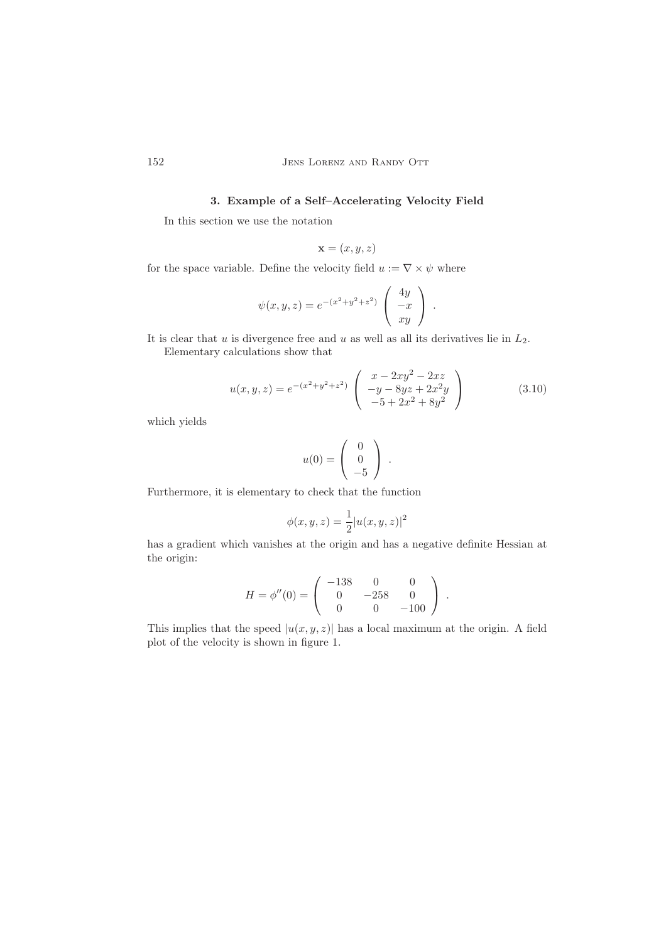# 3. Example of a Self–Accelerating Velocity Field

In this section we use the notation

$$
\mathbf{x} = (x, y, z)
$$

for the space variable. Define the velocity field  $u := \nabla \times \psi$  where

$$
\psi(x,y,z) = e^{-(x^2+y^2+z^2)} \begin{pmatrix} 4y \\ -x \\ xy \end{pmatrix} .
$$

It is clear that  $u$  is divergence free and  $u$  as well as all its derivatives lie in  $L_2$ .

Elementary calculations show that

<span id="page-3-1"></span>
$$
u(x,y,z) = e^{-(x^2+y^2+z^2)} \begin{pmatrix} x - 2xy^2 - 2xz \\ -y - 8yz + 2x^2y \\ -5 + 2x^2 + 8y^2 \end{pmatrix}
$$
 (3.10)

which yields

$$
u(0) = \left(\begin{array}{c} 0 \\ 0 \\ -5 \end{array}\right) .
$$

Furthermore, it is elementary to check that the function

$$
\phi(x, y, z) = \frac{1}{2} |u(x, y, z)|^2
$$

has a gradient which vanishes at the origin and has a negative definite Hessian at the origin:

$$
H = \phi''(0) = \begin{pmatrix} -138 & 0 & 0 \\ 0 & -258 & 0 \\ 0 & 0 & -100 \end{pmatrix}.
$$

This implies that the speed  $|u(x, y, z)|$  has a local maximum at the origin. A field plot of the velocity is shown in figure 1.

<span id="page-3-0"></span>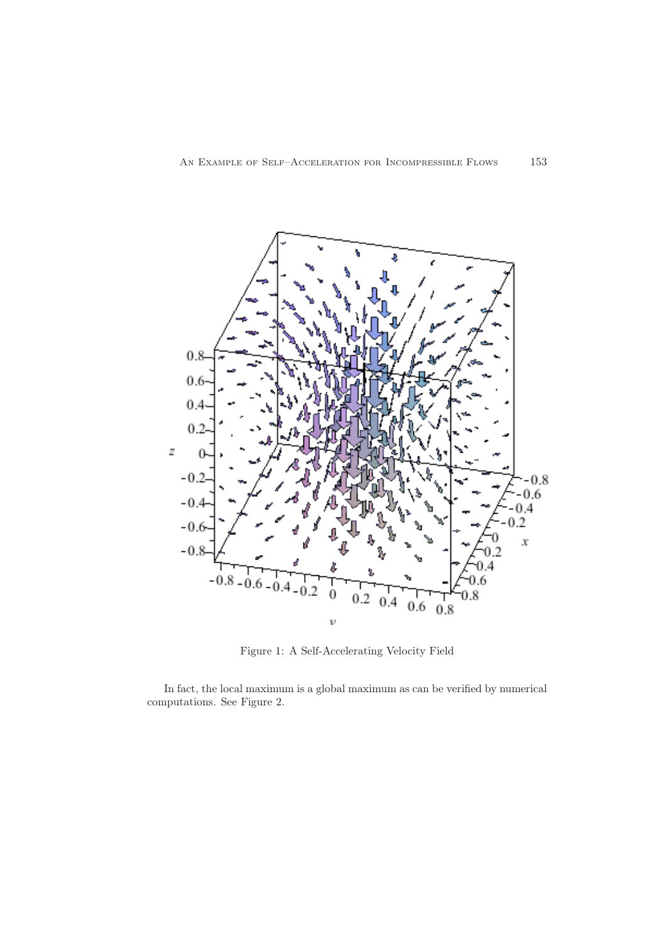

Figure 1: A Self-Accelerating Velocity Field

In fact, the local maximum is a global maximum as can be verified by numerical computations. See Figure 2.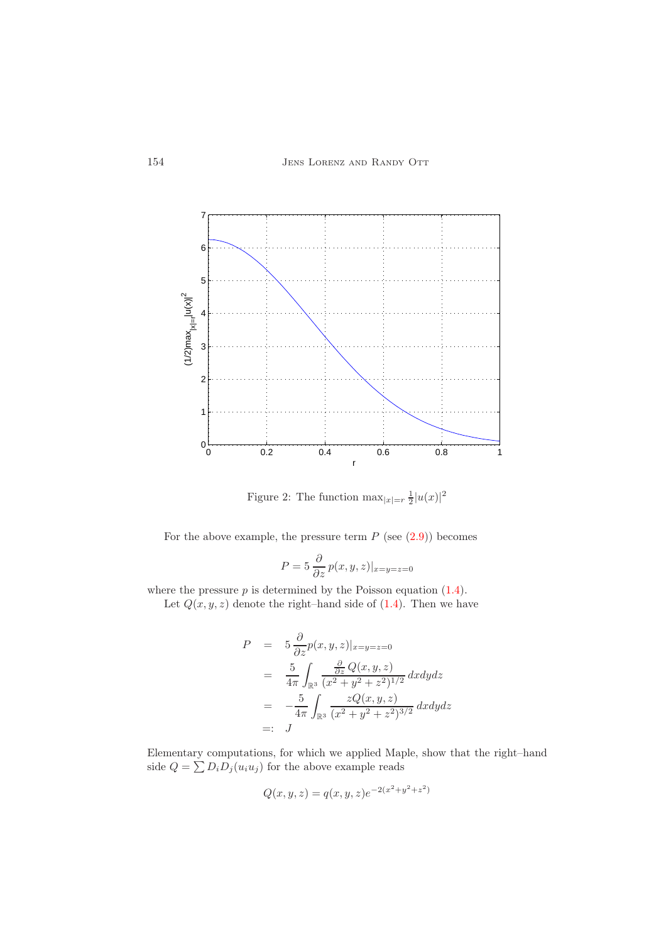

Figure 2: The function  $\max_{|x|=r} \frac{1}{2} |u(x)|^2$ 

For the above example, the pressure term  $P$  (see  $(2.9)$ ) becomes

$$
P = 5 \frac{\partial}{\partial z} p(x, y, z)|_{x=y=z=0}
$$

where the pressure  $p$  is determined by the Poisson equation  $(1.4)$ .

Let  $Q(x, y, z)$  denote the right–hand side of  $(1.4)$ . Then we have

$$
P = 5 \frac{\partial}{\partial z} p(x, y, z)|_{x=y=z=0}
$$
  
= 
$$
\frac{5}{4\pi} \int_{\mathbb{R}^3} \frac{\frac{\partial}{\partial z} Q(x, y, z)}{(x^2 + y^2 + z^2)^{1/2}} dxdydz
$$
  
= 
$$
-\frac{5}{4\pi} \int_{\mathbb{R}^3} \frac{zQ(x, y, z)}{(x^2 + y^2 + z^2)^{3/2}} dxdydz
$$
  
=: 
$$
J
$$

Elementary computations, for which we applied Maple, show that the right–hand side  $Q = \sum D_i D_j (u_i u_j)$  for the above example reads

$$
Q(x, y, z) = q(x, y, z)e^{-2(x^2 + y^2 + z^2)}
$$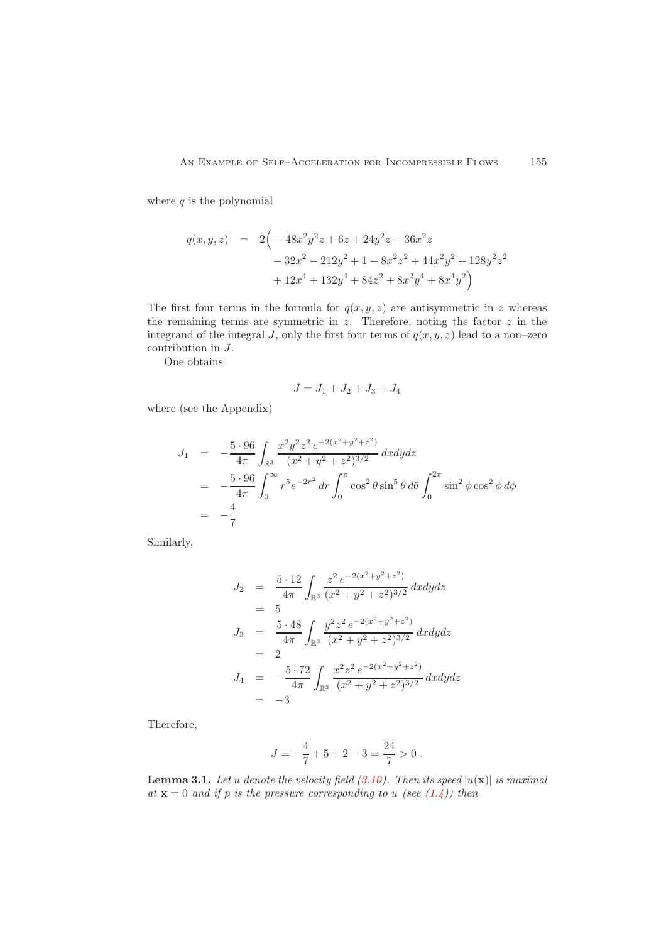where  $q$  is the polynomial

$$
q(x, y, z) = 2\left(-48x^2y^2z + 6z + 24y^2z - 36x^2z
$$

$$
-32x^2 - 212y^2 + 1 + 8x^2z^2 + 44x^2y^2 + 128y^2z^2
$$

$$
+ 12x^4 + 132y^4 + 84z^2 + 8x^2y^4 + 8x^4y^2\right)
$$

The first four terms in the formula for  $q(x, y, z)$  are antisymmetric in z whereas the remaining terms are symmetric in  $z$ . Therefore, noting the factor  $z$  in the integrand of the integral J, only the first four terms of  $q(x, y, z)$  lead to a non-zero contribution in J.

One obtains

$$
J = J_1 + J_2 + J_3 + J_4
$$

where (see the Appendix)

$$
J_1 = -\frac{5 \cdot 96}{4\pi} \int_{\mathbb{R}^3} \frac{x^2 y^2 z^2 e^{-2(x^2 + y^2 + z^2)}}{(x^2 + y^2 + z^2)^{3/2}} dx dy dz
$$
  
=  $-\frac{5 \cdot 96}{4\pi} \int_0^\infty r^5 e^{-2r^2} dr \int_0^\pi \cos^2 \theta \sin^5 \theta d\theta \int_0^{2\pi} \sin^2 \phi \cos^2 \phi d\phi$   
=  $-\frac{4}{7}$ 

Similarly,

$$
J_2 = \frac{5 \cdot 12}{4\pi} \int_{\mathbb{R}^3} \frac{z^2 e^{-2(x^2 + y^2 + z^2)}}{(x^2 + y^2 + z^2)^{3/2}} dx dy dz
$$
  
\n
$$
= 5
$$
  
\n
$$
J_3 = \frac{5 \cdot 48}{4\pi} \int_{\mathbb{R}^3} \frac{y^2 z^2 e^{-2(x^2 + y^2 + z^2)}}{(x^2 + y^2 + z^2)^{3/2}} dx dy dz
$$
  
\n
$$
= 2
$$
  
\n
$$
J_4 = -\frac{5 \cdot 72}{4\pi} \int_{\mathbb{R}^3} \frac{x^2 z^2 e^{-2(x^2 + y^2 + z^2)}}{(x^2 + y^2 + z^2)^{3/2}} dx dy dz
$$
  
\n
$$
= -3
$$

Therefore,

$$
J=-\frac{4}{7}+5+2-3=\frac{24}{7}>0\;.
$$

**Lemma 3.1.** Let u denote the velocity field  $(3.10)$ . Then its speed  $|u(\mathbf{x})|$  is maximal at  $x = 0$  and if p is the pressure corresponding to u (see [\(1.4\)](#page-1-4)) then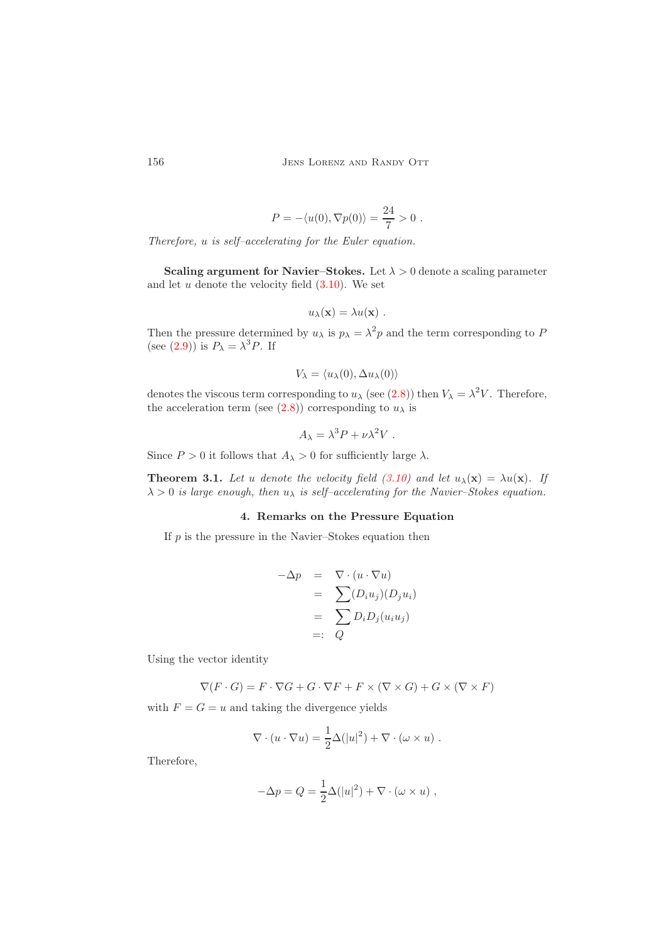$$
P = -\langle u(0), \nabla p(0) \rangle = \frac{24}{7} > 0.
$$

Therefore, u is self–accelerating for the Euler equation.

Scaling argument for Navier–Stokes. Let  $\lambda > 0$  denote a scaling parameter and let  $u$  denote the velocity field  $(3.10)$ . We set

$$
u_{\lambda}(\mathbf{x}) = \lambda u(\mathbf{x}) \ .
$$

Then the pressure determined by  $u_{\lambda}$  is  $p_{\lambda} = \lambda^2 p$  and the term corresponding to P (see [\(2.9\)](#page-2-4)) is  $P_{\lambda} = \lambda^3 P$ . If

$$
V_{\lambda} = \langle u_{\lambda}(0), \Delta u_{\lambda}(0) \rangle
$$

denotes the viscous term corresponding to  $u_{\lambda}$  (see [\(2.8\)](#page-2-3)) then  $V_{\lambda} = \lambda^2 V$ . Therefore, the acceleration term (see [\(2.8\)](#page-2-3)) corresponding to  $u_\lambda$  is

$$
A_{\lambda} = \lambda^3 P + \nu \lambda^2 V.
$$

Since  $P > 0$  it follows that  $A_{\lambda} > 0$  for sufficiently large  $\lambda$ .

<span id="page-7-0"></span>**Theorem 3.1.** Let u denote the velocity field [\(3.10\)](#page-3-1) and let  $u_{\lambda}(\mathbf{x}) = \lambda u(\mathbf{x})$ . If  $\lambda > 0$  is large enough, then  $u_{\lambda}$  is self-accelerating for the Navier-Stokes equation.

# 4. Remarks on the Pressure Equation

If  $p$  is the pressure in the Navier–Stokes equation then

$$
\begin{array}{rcl}\n-\Delta p & = & \nabla \cdot (u \cdot \nabla u) \\
 & = & \sum (D_i u_j)(D_j u_i) \\
 & = & \sum D_i D_j (u_i u_j) \\
 & = & Q\n\end{array}
$$

Using the vector identity

$$
\nabla(F \cdot G) = F \cdot \nabla G + G \cdot \nabla F + F \times (\nabla \times G) + G \times (\nabla \times F)
$$

with  $F = G = u$  and taking the divergence yields

$$
\nabla \cdot (u \cdot \nabla u) = \frac{1}{2} \Delta (|u|^2) + \nabla \cdot (\omega \times u) .
$$

Therefore,

$$
-\Delta p = Q = \frac{1}{2}\Delta (|u|^2) + \nabla \cdot (\omega \times u) ,
$$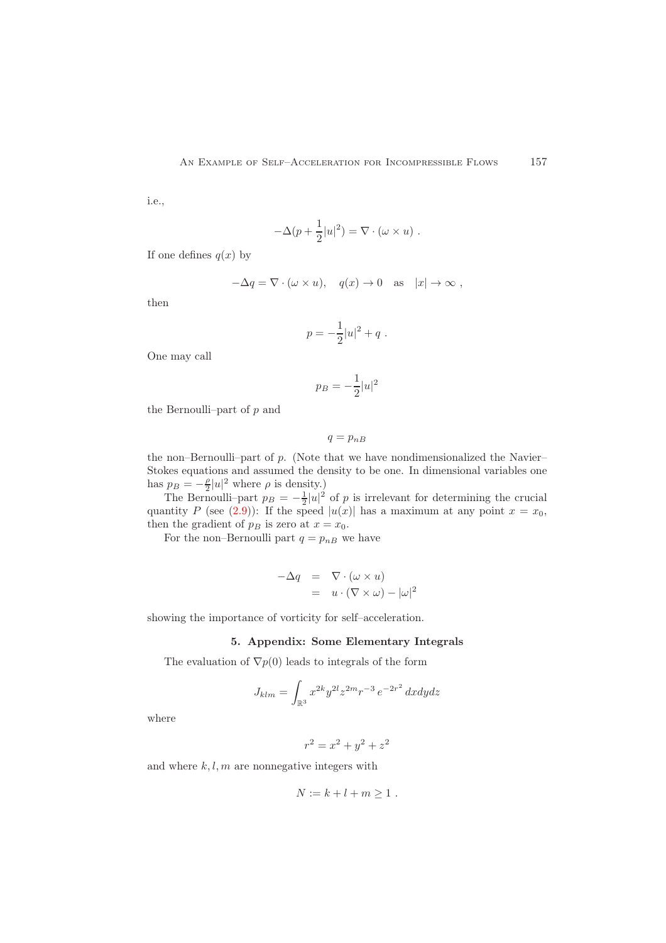i.e.,

$$
-\Delta(p+\frac{1}{2}|u|^2) = \nabla \cdot (\omega \times u) .
$$

If one defines  $q(x)$  by

$$
-\Delta q = \nabla \cdot (\omega \times u), \quad q(x) \to 0 \quad \text{as} \quad |x| \to \infty ,
$$

then

$$
p = -\frac{1}{2}|u|^2 + q \ .
$$

One may call

$$
p_B = -\frac{1}{2}|u|^2
$$

the Bernoulli–part of  $p$  and

$$
q=p_{nB}
$$

the non–Bernoulli–part of  $p$ . (Note that we have nondimensionalized the Navier– Stokes equations and assumed the density to be one. In dimensional variables one has  $p_B = -\frac{\rho}{2}|u|^2$  where  $\rho$  is density.)

The Bernoulli–part  $p_B = -\frac{1}{2}|u|^2$  of p is irrelevant for determining the crucial quantity P (see [\(2.9\)](#page-2-4)): If the speed  $|u(x)|$  has a maximum at any point  $x = x_0$ , then the gradient of  $p_B$  is zero at  $x = x_0$ .

For the non–Bernoulli part  $q = p_{nB}$  we have

$$
\begin{array}{rcl}\n-\Delta q & = & \nabla \cdot (\omega \times u) \\
& = & u \cdot (\nabla \times \omega) - |\omega|^2\n\end{array}
$$

<span id="page-8-0"></span>showing the importance of vorticity for self–acceleration.

# 5. Appendix: Some Elementary Integrals

The evaluation of  $\nabla p(0)$  leads to integrals of the form

$$
J_{klm} = \int_{\mathbb{R}^3} x^{2k} y^{2l} z^{2m} r^{-3} e^{-2r^2} dx dy dz
$$

where

$$
r^2 = x^2 + y^2 + z^2
$$

and where  $k, l, m$  are nonnegative integers with

$$
N := k + l + m \ge 1 .
$$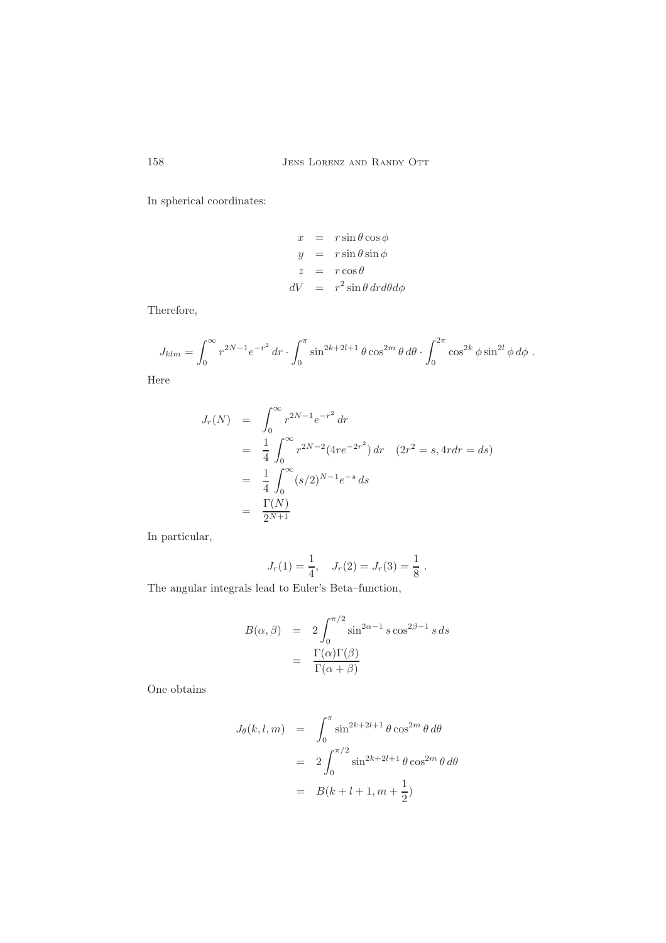In spherical coordinates:

$$
x = r \sin \theta \cos \phi
$$
  
\n
$$
y = r \sin \theta \sin \phi
$$
  
\n
$$
z = r \cos \theta
$$
  
\n
$$
dV = r^2 \sin \theta \, dr d\theta d\phi
$$

Therefore,

$$
J_{klm} = \int_0^\infty r^{2N-1} e^{-r^2} dr \cdot \int_0^\pi \sin^{2k+2l+1} \theta \cos^{2m} \theta d\theta \cdot \int_0^{2\pi} \cos^{2k} \phi \sin^{2l} \phi d\phi.
$$

Here

$$
J_r(N) = \int_0^\infty r^{2N-1} e^{-r^2} dr
$$
  
=  $\frac{1}{4} \int_0^\infty r^{2N-2} (4re^{-2r^2}) dr$   $(2r^2 = s, 4r dr = ds)$   
=  $\frac{1}{4} \int_0^\infty (s/2)^{N-1} e^{-s} ds$   
=  $\frac{\Gamma(N)}{2^{N+1}}$ 

In particular,

$$
J_r(1) = \frac{1}{4}
$$
,  $J_r(2) = J_r(3) = \frac{1}{8}$ .

The angular integrals lead to Euler's Beta–function,

$$
B(\alpha, \beta) = 2 \int_0^{\pi/2} \sin^{2\alpha - 1} s \cos^{2\beta - 1} s ds
$$

$$
= \frac{\Gamma(\alpha)\Gamma(\beta)}{\Gamma(\alpha + \beta)}
$$

One obtains

$$
J_{\theta}(k, l, m) = \int_0^{\pi} \sin^{2k+2l+1} \theta \cos^{2m} \theta d\theta
$$

$$
= 2 \int_0^{\pi/2} \sin^{2k+2l+1} \theta \cos^{2m} \theta d\theta
$$

$$
= B(k+l+1, m+\frac{1}{2})
$$